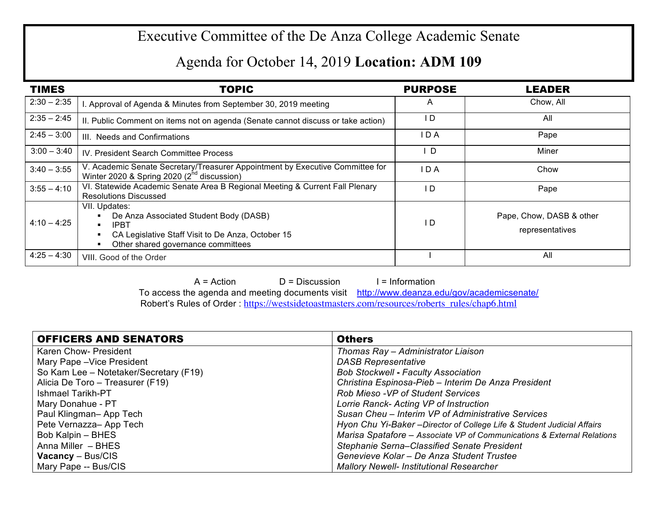## Executive Committee of the De Anza College Academic Senate

## Agenda for October 14, 2019 **Location: ADM 109**

| <b>TIMES</b>  | <b>TOPIC</b>                                                                                                                                                                        | <b>PURPOSE</b> | <b>LEADER</b>                               |
|---------------|-------------------------------------------------------------------------------------------------------------------------------------------------------------------------------------|----------------|---------------------------------------------|
| $2:30 - 2:35$ | . Approval of Agenda & Minutes from September 30, 2019 meeting                                                                                                                      | A              | Chow, All                                   |
| $2:35 - 2:45$ | II. Public Comment on items not on agenda (Senate cannot discuss or take action)                                                                                                    | I D            | All                                         |
| $2:45 - 3:00$ | III. Needs and Confirmations                                                                                                                                                        | I D A          | Pape                                        |
| $3:00 - 3:40$ | IV. President Search Committee Process                                                                                                                                              | ID.            | Miner                                       |
| $3:40 - 3:55$ | V. Academic Senate Secretary/Treasurer Appointment by Executive Committee for<br>Winter 2020 & Spring 2020 (2 <sup>nd</sup> discussion)                                             | IDA            | Chow                                        |
| $3:55 - 4:10$ | VI. Statewide Academic Senate Area B Regional Meeting & Current Fall Plenary<br><b>Resolutions Discussed</b>                                                                        | I D            | Pape                                        |
| $4:10 - 4:25$ | VII. Updates:<br>De Anza Associated Student Body (DASB)<br><b>IPBT</b><br>$\blacksquare$<br>CA Legislative Staff Visit to De Anza, October 15<br>Other shared governance committees | I D            | Pape, Chow, DASB & other<br>representatives |
| $4:25 - 4:30$ | VIII. Good of the Order                                                                                                                                                             |                | All                                         |

 $A = Action$   $D = Discussion$  I = Information To access the agenda and meeting documents visit http://www.deanza.edu/gov/academicsenate/ Robert's Rules of Order : https://westsidetoastmasters.com/resources/roberts\_rules/chap6.html

| <b>OFFICERS AND SENATORS</b>           | <b>Others</b>                                                           |
|----------------------------------------|-------------------------------------------------------------------------|
| Karen Chow- President                  | Thomas Ray - Administrator Liaison                                      |
| Mary Pape - Vice President             | <b>DASB Representative</b>                                              |
| So Kam Lee - Notetaker/Secretary (F19) | <b>Bob Stockwell - Faculty Association</b>                              |
| Alicia De Toro - Treasurer (F19)       | Christina Espinosa-Pieb - Interim De Anza President                     |
| <b>Ishmael Tarikh-PT</b>               | Rob Mieso - VP of Student Services                                      |
| Mary Donahue - PT                      | Lorrie Ranck- Acting VP of Instruction                                  |
| Paul Klingman-App Tech                 | Susan Cheu - Interim VP of Administrative Services                      |
| Pete Vernazza-App Tech                 | Hyon Chu Yi-Baker - Director of College Life & Student Judicial Affairs |
| Bob Kalpin - BHES                      | Marisa Spatafore - Associate VP of Communications & External Relations  |
| Anna Miller - BHES                     | Stephanie Serna-Classified Senate President                             |
| <b>Vacancy</b> – Bus/CIS               | Genevieve Kolar - De Anza Student Trustee                               |
| Mary Pape -- Bus/CIS                   | <b>Mallory Newell- Institutional Researcher</b>                         |